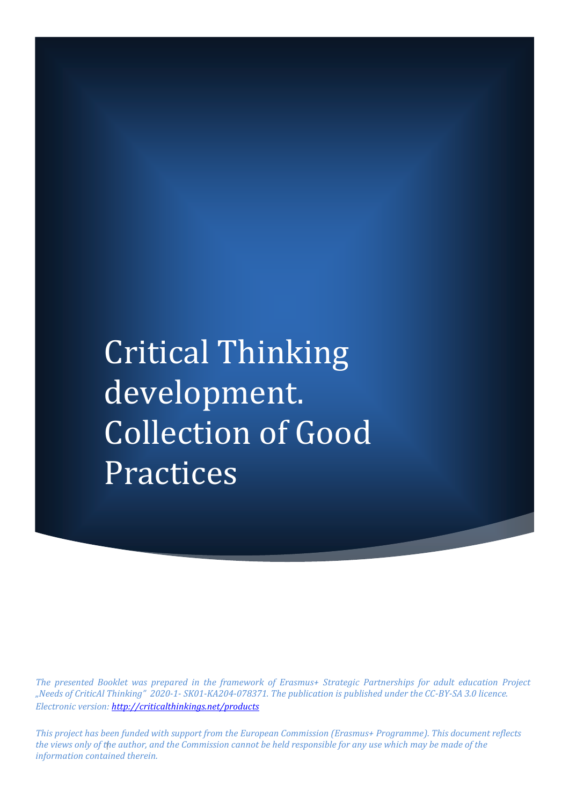Critical Thinking development. Collection of Good Practices

*The presented Booklet was prepared in the framework of Erasmus+ Strategic Partnerships for adult education Project "Needs of CriticAl Thinking" 2020-1- SK01-KA204-078371. The publication is published under the CC-BY-SA 3.0 licence. Electronic version[: http://criticalthinkings.net/products](http://criticalthinkings.net/products)*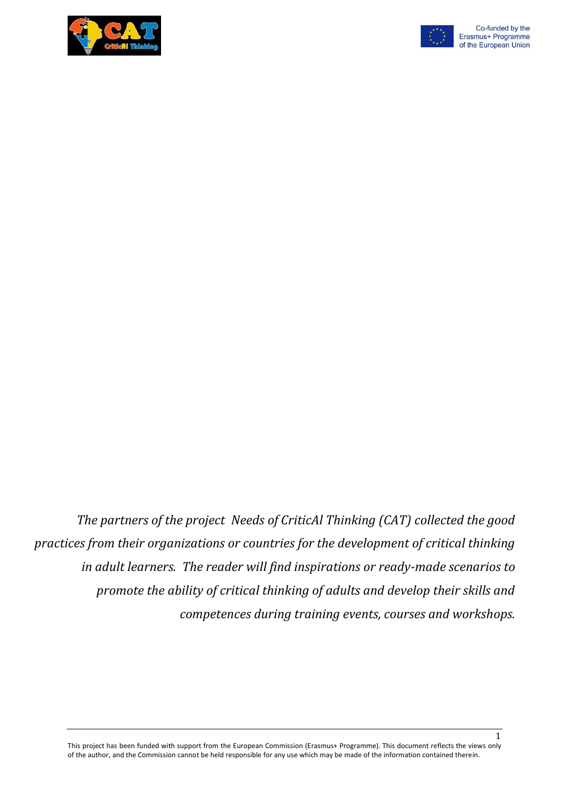



*The partners of the project Needs of CriticAl Thinking (CAT) collected the good practices from their organizations or countries for the development of critical thinking in adult learners. The reader will find inspirations or ready-made scenarios to promote the ability of critical thinking of adults and develop their skills and competences during training events, courses and workshops.*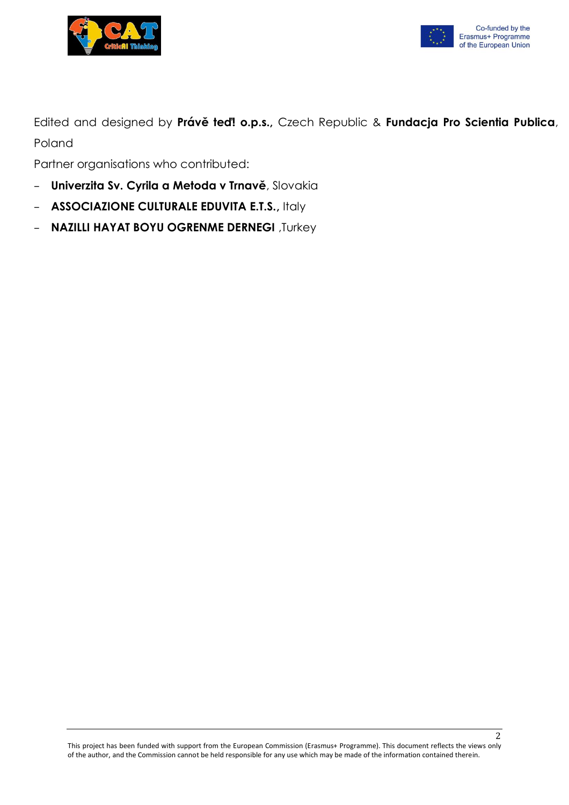



Edited and designed by **Právě teď! o.p.s.,** Czech Republic & **Fundacja Pro Scientia Publica**, Poland

Partner organisations who contributed:

- **Univerzita Sv. Cyrila a Metoda v Trnavě**, Slovakia
- **ASSOCIAZIONE CULTURALE EDUVITA E.T.S.,** Italy
- **NAZILLI HAYAT BOYU OGRENME DERNEGI** ,Turkey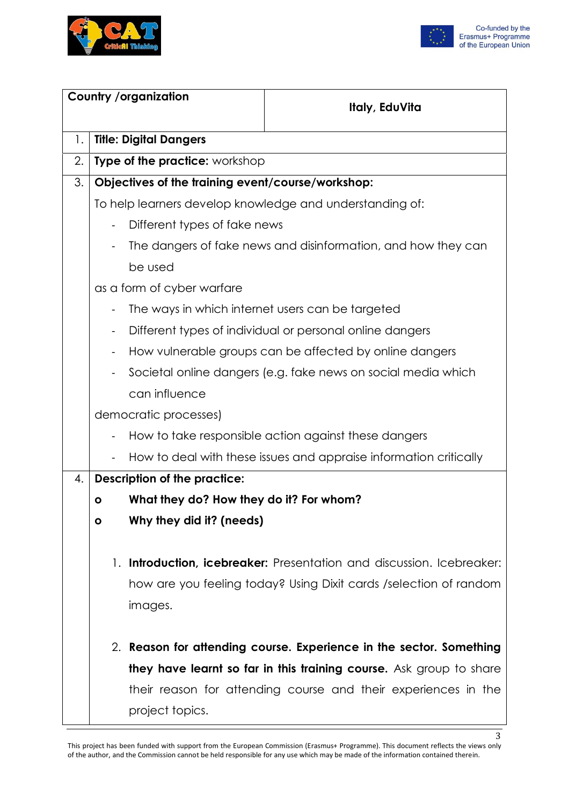



| <b>Country /organization</b> |                              |                                                   | Italy, EduVita                                                        |
|------------------------------|------------------------------|---------------------------------------------------|-----------------------------------------------------------------------|
|                              |                              |                                                   |                                                                       |
| 1.                           |                              | <b>Title: Digital Dangers</b>                     |                                                                       |
| 2.                           |                              | <b>Type of the practice:</b> workshop             |                                                                       |
| 3.                           |                              | Objectives of the training event/course/workshop: |                                                                       |
|                              |                              |                                                   | To help learners develop knowledge and understanding of:              |
|                              | $\blacksquare$               | Different types of fake news                      |                                                                       |
|                              |                              |                                                   | The dangers of fake news and disinformation, and how they can         |
|                              |                              | be used                                           |                                                                       |
|                              |                              | as a form of cyber warfare                        |                                                                       |
|                              |                              | The ways in which internet users can be targeted  |                                                                       |
|                              |                              |                                                   | Different types of individual or personal online dangers              |
|                              | $\overline{\phantom{a}}$     |                                                   | How vulnerable groups can be affected by online dangers               |
|                              | $\qquad \qquad \blacksquare$ |                                                   | Societal online dangers (e.g. fake news on social media which         |
|                              |                              | can influence                                     |                                                                       |
|                              |                              | democratic processes)                             |                                                                       |
|                              |                              |                                                   | How to take responsible action against these dangers                  |
|                              |                              |                                                   | How to deal with these issues and appraise information critically     |
| 4.                           |                              | <b>Description of the practice:</b>               |                                                                       |
|                              | $\mathbf{o}$                 | What they do? How they do it? For whom?           |                                                                       |
|                              | $\bullet$                    | Why they did it? (needs)                          |                                                                       |
|                              |                              |                                                   |                                                                       |
|                              |                              |                                                   | 1. Introduction, icebreaker: Presentation and discussion. Icebreaker: |
|                              |                              |                                                   | how are you feeling today? Using Dixit cards / selection of random    |
|                              |                              | images.                                           |                                                                       |
|                              |                              |                                                   | 2. Reason for attending course. Experience in the sector. Something   |
|                              |                              |                                                   | they have learnt so far in this training course. Ask group to share   |
|                              |                              |                                                   | their reason for attending course and their experiences in the        |
|                              |                              | project topics.                                   |                                                                       |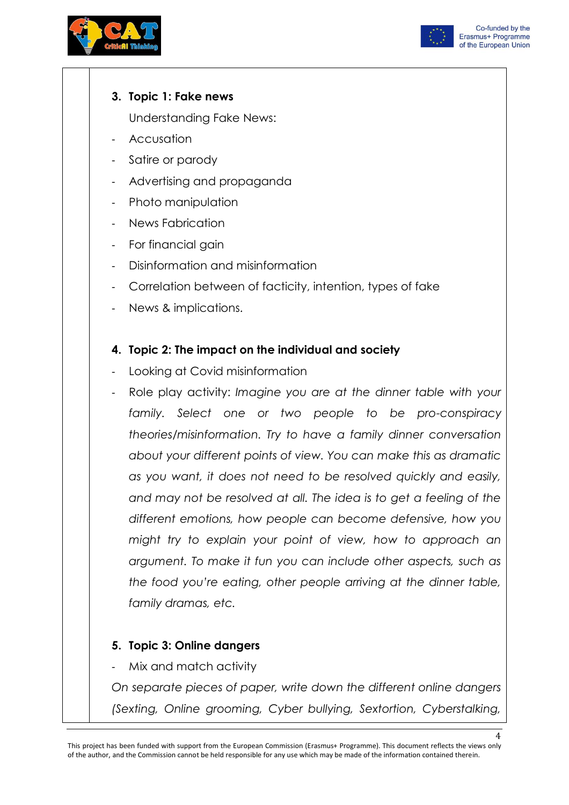



### **3. Topic 1: Fake news**

Understanding Fake News:

- **Accusation**
- Satire or parody
- Advertising and propaganda
- Photo manipulation
- News Fabrication
- For financial gain
- Disinformation and misinformation
- Correlation between of facticity, intention, types of fake
- News & implications.

# **4. Topic 2: The impact on the individual and society**

- Looking at Covid misinformation
- Role play activity: *Imagine you are at the dinner table with your family. Select one or two people to be pro-conspiracy theories/misinformation. Try to have a family dinner conversation about your different points of view. You can make this as dramatic as you want, it does not need to be resolved quickly and easily, and may not be resolved at all. The idea is to get a feeling of the different emotions, how people can become defensive, how you might try to explain your point of view, how to approach an argument. To make it fun you can include other aspects, such as the food you're eating, other people arriving at the dinner table, family dramas, etc.*

# **5. Topic 3: Online dangers**

Mix and match activity

*On separate pieces of paper, write down the different online dangers (Sexting, Online grooming, Cyber bullying, Sextortion, Cyberstalking,*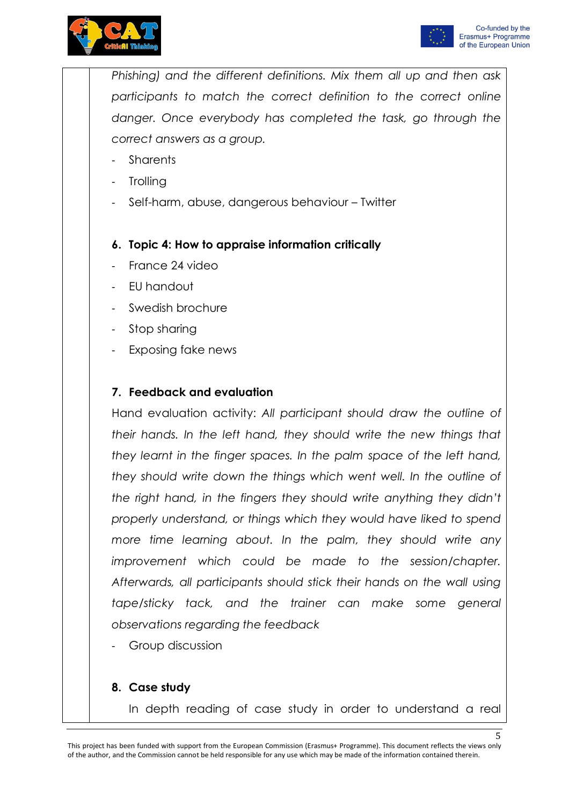



*Phishing) and the different definitions. Mix them all up and then ask participants to match the correct definition to the correct online danger. Once everybody has completed the task, go through the correct answers as a group.*

- **Sharents**
- **Trolling**
- Self-harm, abuse, dangerous behaviour Twitter
- **6. Topic 4: How to appraise information critically**
- France 24 video
- EU handout
- Swedish brochure
- Stop sharing
- Exposing fake news

### **7. Feedback and evaluation**

Hand evaluation activity: *All participant should draw the outline of their hands. In the left hand, they should write the new things that they learnt in the finger spaces. In the palm space of the left hand, they should write down the things which went well. In the outline of the right hand, in the fingers they should write anything they didn't properly understand, or things which they would have liked to spend more time learning about. In the palm, they should write any improvement which could be made to the session/chapter. Afterwards, all participants should stick their hands on the wall using tape/sticky tack, and the trainer can make some general observations regarding the feedback*

Group discussion

#### **8. Case study**

In depth reading of case study in order to understand a real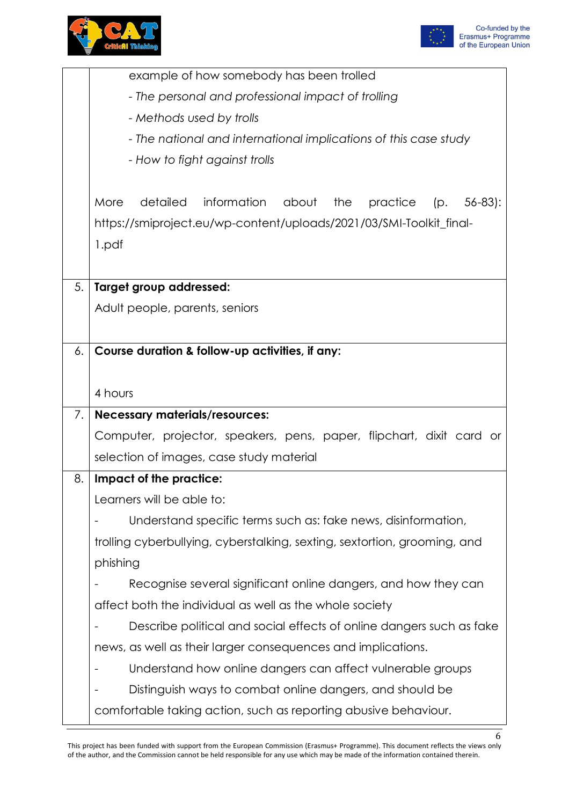



|    | example of how somebody has been trolled                                          |  |  |  |  |
|----|-----------------------------------------------------------------------------------|--|--|--|--|
|    | - The personal and professional impact of trolling                                |  |  |  |  |
|    | - Methods used by trolls                                                          |  |  |  |  |
|    | - The national and international implications of this case study                  |  |  |  |  |
|    | - How to fight against trolls                                                     |  |  |  |  |
|    |                                                                                   |  |  |  |  |
|    | information<br>More<br>detailed<br>about<br>the<br>$56 - 83$ :<br>practice<br>(p. |  |  |  |  |
|    | https://smiproject.eu/wp-content/uploads/2021/03/SMI-Toolkit_final-               |  |  |  |  |
|    | 1.pdf                                                                             |  |  |  |  |
|    |                                                                                   |  |  |  |  |
| 5. | Target group addressed:                                                           |  |  |  |  |
|    | Adult people, parents, seniors                                                    |  |  |  |  |
|    |                                                                                   |  |  |  |  |
| 6. | Course duration & follow-up activities, if any:                                   |  |  |  |  |
|    |                                                                                   |  |  |  |  |
|    | 4 hours                                                                           |  |  |  |  |
| 7. | <b>Necessary materials/resources:</b>                                             |  |  |  |  |
|    | Computer, projector, speakers, pens, paper, flipchart, dixit card or              |  |  |  |  |
|    | selection of images, case study material                                          |  |  |  |  |
| 8. | Impact of the practice:                                                           |  |  |  |  |
|    | Learners will be able to:                                                         |  |  |  |  |
|    | Understand specific terms such as: fake news, disinformation,                     |  |  |  |  |
|    |                                                                                   |  |  |  |  |
|    | trolling cyberbullying, cyberstalking, sexting, sextortion, grooming, and         |  |  |  |  |
|    | phishing                                                                          |  |  |  |  |
|    | Recognise several significant online dangers, and how they can                    |  |  |  |  |
|    | affect both the individual as well as the whole society                           |  |  |  |  |
|    | Describe political and social effects of online dangers such as fake              |  |  |  |  |
|    | news, as well as their larger consequences and implications.                      |  |  |  |  |
|    | Understand how online dangers can affect vulnerable groups                        |  |  |  |  |
|    | Distinguish ways to combat online dangers, and should be                          |  |  |  |  |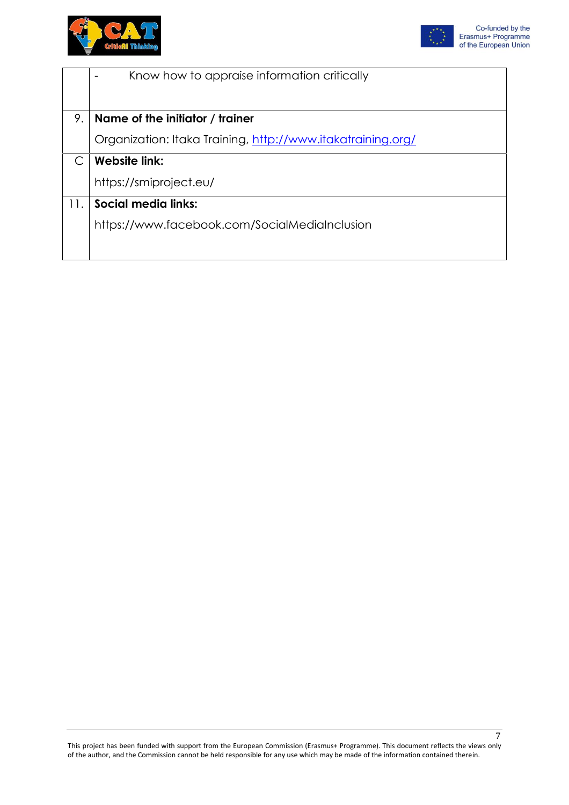



|     | Know how to appraise information critically                 |
|-----|-------------------------------------------------------------|
|     |                                                             |
| 9.  | Name of the initiator / trainer                             |
|     | Organization: Itaka Training, http://www.itakatraining.org/ |
|     | <b>Website link:</b>                                        |
|     | https://smiproject.eu/                                      |
| 11. | Social media links:                                         |
|     | https://www.facebook.com/SocialMediaInclusion               |
|     |                                                             |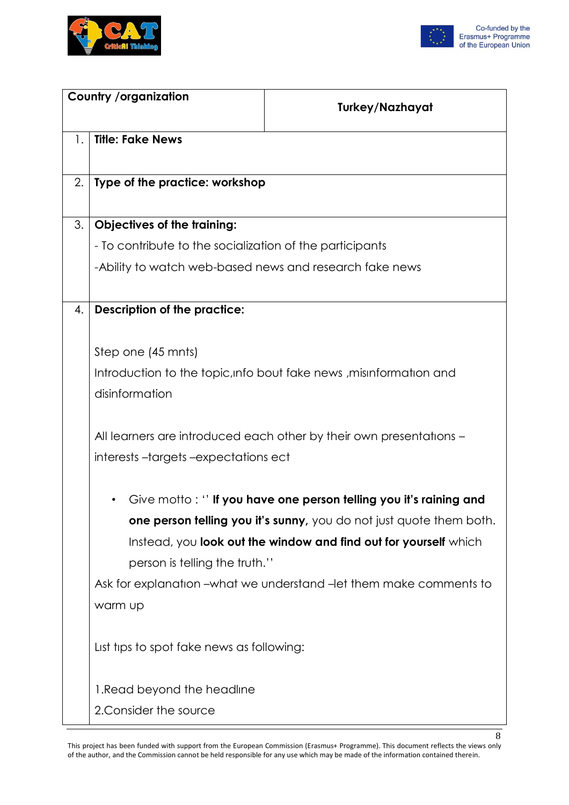



| <b>Country /organization</b> |                                                          | <b>Turkey/Nazhayat</b>                                               |
|------------------------------|----------------------------------------------------------|----------------------------------------------------------------------|
|                              |                                                          |                                                                      |
| 1.                           | <b>Title: Fake News</b>                                  |                                                                      |
|                              |                                                          |                                                                      |
| 2.                           | Type of the practice: workshop                           |                                                                      |
|                              |                                                          |                                                                      |
| 3.                           | <b>Objectives of the training:</b>                       |                                                                      |
|                              | - To contribute to the socialization of the participants |                                                                      |
|                              | -Ability to watch web-based news and research fake news  |                                                                      |
|                              |                                                          |                                                                      |
| 4.                           | <b>Description of the practice:</b>                      |                                                                      |
|                              |                                                          |                                                                      |
|                              | Step one (45 mnts)                                       |                                                                      |
|                              |                                                          | Introduction to the topic, info bout fake news, misinformation and   |
|                              | disinformation                                           |                                                                      |
|                              |                                                          |                                                                      |
|                              |                                                          | All learners are introduced each other by their own presentations -  |
|                              | interests-targets-expectations ect                       |                                                                      |
|                              |                                                          |                                                                      |
|                              |                                                          | Give motto: "If you have one person telling you it's raining and     |
|                              |                                                          | one person telling you it's sunny, you do not just quote them both.  |
|                              |                                                          | Instead, you look out the window and find out for yourself which     |
|                              | person is telling the truth."                            |                                                                      |
|                              |                                                          | Ask for explanation – what we understand – let them make comments to |
|                              | warm up                                                  |                                                                      |
|                              |                                                          |                                                                      |
|                              | List tips to spot fake news as following:                |                                                                      |
|                              |                                                          |                                                                      |
|                              | 1. Read beyond the headline                              |                                                                      |
|                              | 2. Consider the source                                   |                                                                      |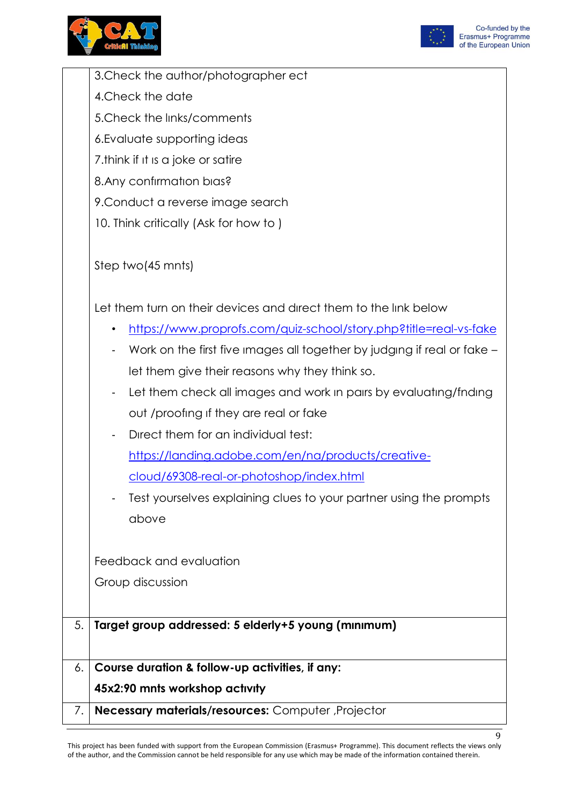



|    | 45x2:90 mnts workshop activity                                                                                            |
|----|---------------------------------------------------------------------------------------------------------------------------|
| 6. | Course duration & follow-up activities, if any:                                                                           |
|    |                                                                                                                           |
| 5. | Target group addressed: 5 elderly+5 young (minimum)                                                                       |
|    |                                                                                                                           |
|    | Group discussion                                                                                                          |
|    | Feedback and evaluation                                                                                                   |
|    |                                                                                                                           |
|    | above                                                                                                                     |
|    | Test yourselves explaining clues to your partner using the prompts                                                        |
|    | cloud/69308-real-or-photoshop/index.html                                                                                  |
|    | https://landing.adobe.com/en/na/products/creative-                                                                        |
|    | Direct them for an individual test:                                                                                       |
|    | out /proofing if they are real or fake                                                                                    |
|    | Let them check all images and work in pairs by evaluating/fnding<br>۰.                                                    |
|    | Work on the first five images all together by judging if real or fake -<br>let them give their reasons why they think so. |
|    | https://www.proprofs.com/quiz-school/story.php?title=real-vs-fake<br>٠                                                    |
|    | Let them turn on their devices and direct them to the link below                                                          |
|    |                                                                                                                           |
|    | Step two(45 mnts)                                                                                                         |
|    |                                                                                                                           |
|    | 10. Think critically (Ask for how to)                                                                                     |
|    | 9. Conduct a reverse image search                                                                                         |
|    | 8. Any confirmation bias?                                                                                                 |
|    | 7. think if it is a joke or satire                                                                                        |
|    | 6. Evaluate supporting ideas                                                                                              |
|    | 5. Check the links/comments                                                                                               |
|    | 4. Check the date                                                                                                         |
|    | 3. Check the author/photographer ect                                                                                      |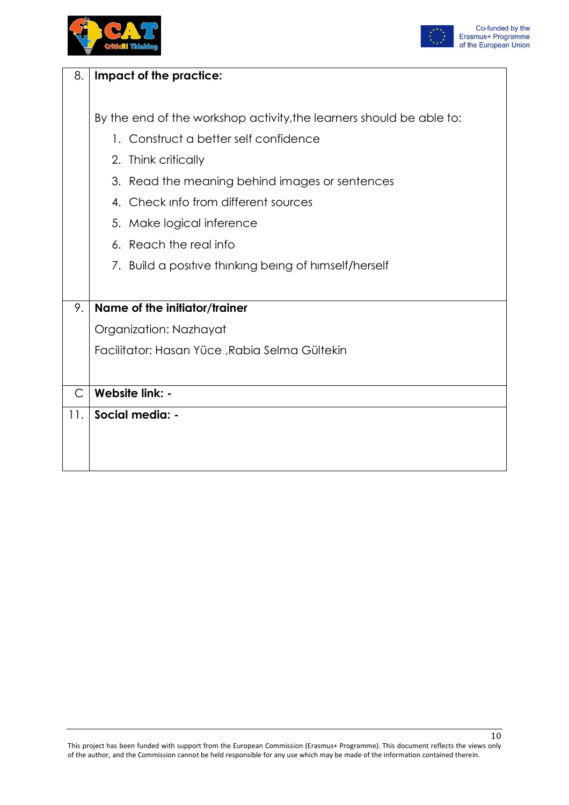



| 8.           | Impact of the practice:                                              |
|--------------|----------------------------------------------------------------------|
|              |                                                                      |
|              | By the end of the workshop activity, the learners should be able to: |
|              | 1. Construct a better self confidence                                |
|              | 2. Think critically                                                  |
|              | 3. Read the meaning behind images or sentences                       |
|              | 4. Check info from different sources                                 |
|              | 5. Make logical inference                                            |
|              | 6. Reach the real info                                               |
|              | 7. Build a positive thinking being of himself/herself                |
|              |                                                                      |
| 9.           | Name of the initiator/trainer                                        |
|              | Organization: Nazhayat                                               |
|              | Facilitator: Hasan Yüce , Rabia Selma Gültekin                       |
|              |                                                                      |
| $\mathsf{C}$ | Website link: -                                                      |
| 11.          | Social media: -                                                      |
|              |                                                                      |
|              |                                                                      |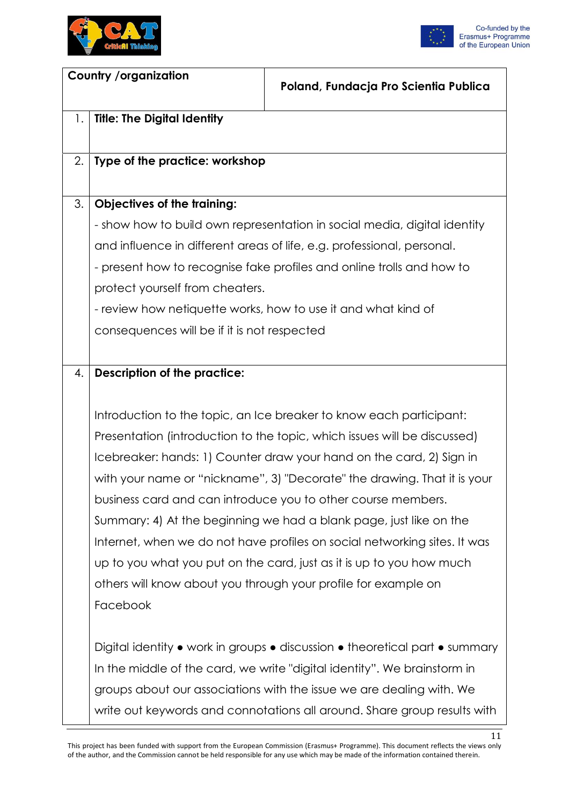



| <b>Country /organization</b> |                                             | Poland, Fundacja Pro Scientia Publica                                       |
|------------------------------|---------------------------------------------|-----------------------------------------------------------------------------|
| 1.                           | <b>Title: The Digital Identity</b>          |                                                                             |
| 2.                           | Type of the practice: workshop              |                                                                             |
| 3.                           | <b>Objectives of the training:</b>          |                                                                             |
|                              |                                             | - show how to build own representation in social media, digital identity    |
|                              |                                             | and influence in different areas of life, e.g. professional, personal.      |
|                              |                                             | - present how to recognise fake profiles and online trolls and how to       |
|                              | protect yourself from cheaters.             |                                                                             |
|                              |                                             | - review how netiquette works, how to use it and what kind of               |
|                              | consequences will be if it is not respected |                                                                             |
|                              |                                             |                                                                             |
| 4.                           | <b>Description of the practice:</b>         |                                                                             |
|                              |                                             |                                                                             |
|                              |                                             | Introduction to the topic, an Ice breaker to know each participant:         |
|                              |                                             | Presentation (introduction to the topic, which issues will be discussed)    |
|                              |                                             | Icebreaker: hands: 1) Counter draw your hand on the card, 2) Sign in        |
|                              |                                             | with your name or "nickname", 3) "Decorate" the drawing. That it is your    |
|                              |                                             | business card and can introduce you to other course members.                |
|                              |                                             | Summary: 4) At the beginning we had a blank page, just like on the          |
|                              |                                             | Internet, when we do not have profiles on social networking sites. It was   |
|                              |                                             | up to you what you put on the card, just as it is up to you how much        |
|                              |                                             | others will know about you through your profile for example on              |
|                              | Facebook                                    |                                                                             |
|                              |                                             |                                                                             |
|                              |                                             | Digital identity • work in groups • discussion • theoretical part • summary |
|                              |                                             | In the middle of the card, we write "digital identity". We brainstorm in    |
|                              |                                             | groups about our associations with the issue we are dealing with. We        |
|                              |                                             | write out keywords and connotations all around. Share group results with    |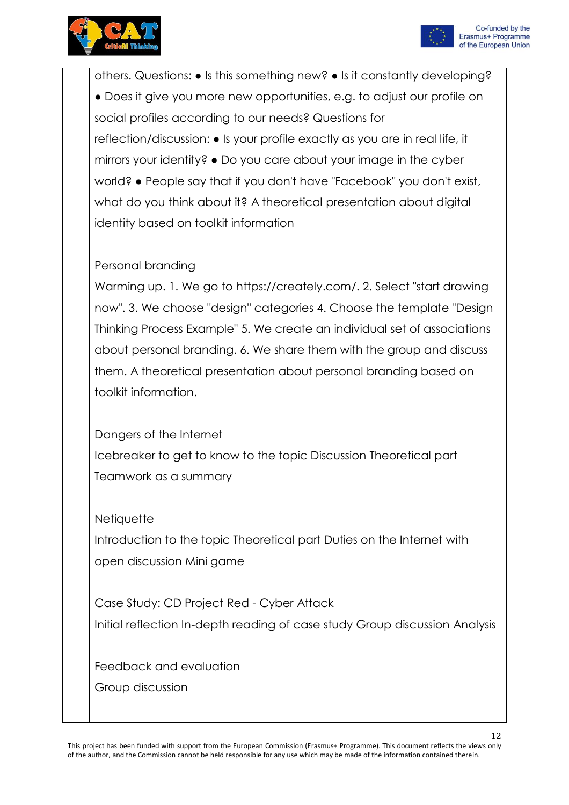



others. Questions: ● Is this something new? ● Is it constantly developing? ● Does it give you more new opportunities, e.g. to adjust our profile on social profiles according to our needs? Questions for reflection/discussion: ● Is your profile exactly as you are in real life, it mirrors your identity? ● Do you care about your image in the cyber world? ● People say that if you don't have "Facebook" you don't exist, what do you think about it? A theoretical presentation about digital identity based on toolkit information

### Personal branding

Warming up. 1. We go to https://creately.com/. 2. Select "start drawing now". 3. We choose "design" categories 4. Choose the template "Design Thinking Process Example" 5. We create an individual set of associations about personal branding. 6. We share them with the group and discuss them. A theoretical presentation about personal branding based on toolkit information.

Dangers of the Internet Icebreaker to get to know to the topic Discussion Theoretical part Teamwork as a summary

**Netiquette** 

Introduction to the topic Theoretical part Duties on the Internet with open discussion Mini game

Case Study: CD Project Red - Cyber Attack Initial reflection In-depth reading of case study Group discussion Analysis

Feedback and evaluation Group discussion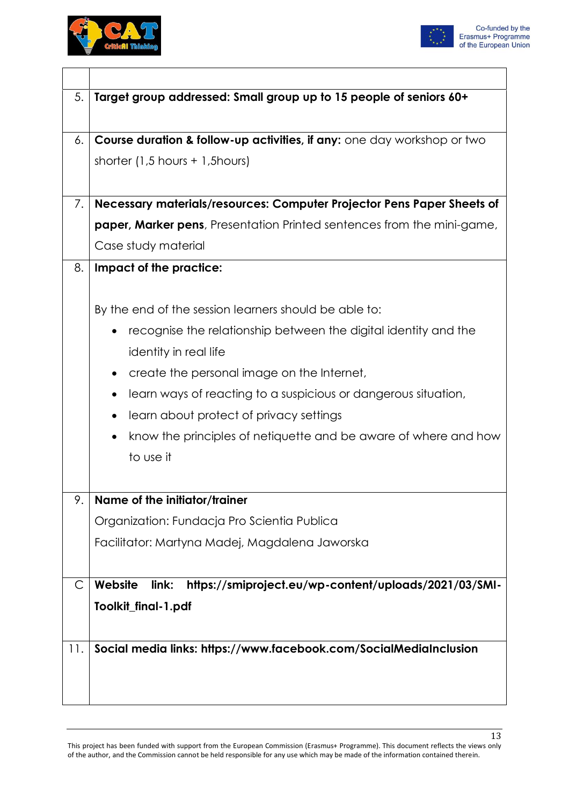



| 5.  | Target group addressed: Small group up to 15 people of seniors 60+             |
|-----|--------------------------------------------------------------------------------|
|     |                                                                                |
| 6.  | Course duration & follow-up activities, if any: one day workshop or two        |
|     | shorter $(1,5$ hours + 1,5 hours)                                              |
|     |                                                                                |
| 7.  | Necessary materials/resources: Computer Projector Pens Paper Sheets of         |
|     | <b>paper, Marker pens</b> , Presentation Printed sentences from the mini-game, |
|     | Case study material                                                            |
| 8.  | Impact of the practice:                                                        |
|     |                                                                                |
|     | By the end of the session learners should be able to:                          |
|     | recognise the relationship between the digital identity and the<br>٠           |
|     | identity in real life                                                          |
|     | create the personal image on the Internet,<br>$\bullet$                        |
|     | learn ways of reacting to a suspicious or dangerous situation,<br>٠            |
|     | learn about protect of privacy settings<br>$\bullet$                           |
|     | know the principles of netiquette and be aware of where and how<br>$\bullet$   |
|     | to use it                                                                      |
|     |                                                                                |
| 9.  | Name of the initiator/trainer                                                  |
|     | Organization: Fundacja Pro Scientia Publica                                    |
|     | Facilitator: Martyna Madej, Magdalena Jaworska                                 |
|     |                                                                                |
| С   | https://smiproject.eu/wp-content/uploads/2021/03/SMI-<br>Website<br>link:      |
|     | Toolkit_final-1.pdf                                                            |
|     |                                                                                |
| 11. | Social media links: https://www.facebook.com/SocialMediaInclusion              |
|     |                                                                                |
|     |                                                                                |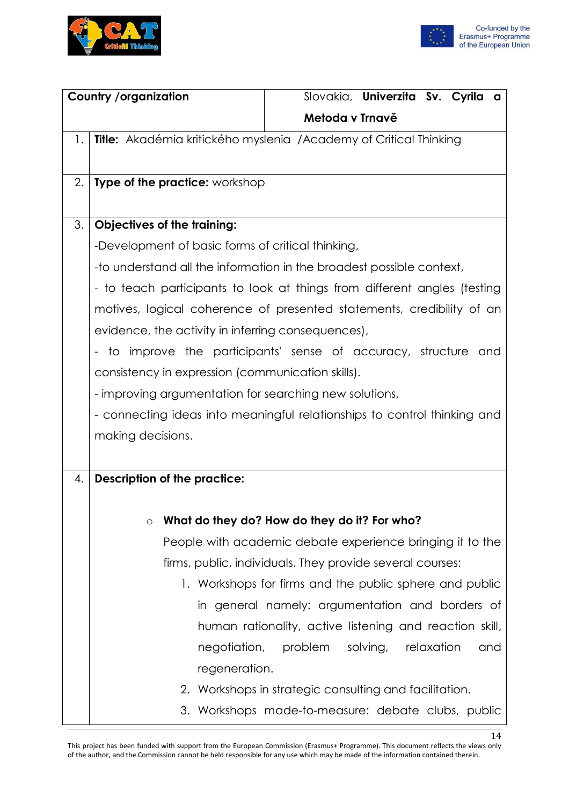



| <b>Country /organization</b>                                                   |                                                                         |                                                         |          | Slovakia, Univerzita Sv. Cyrila a               |
|--------------------------------------------------------------------------------|-------------------------------------------------------------------------|---------------------------------------------------------|----------|-------------------------------------------------|
|                                                                                |                                                                         | Metoda v Trnavě                                         |          |                                                 |
| 1.<br><b>Title:</b> Akadémia kritického myslenia /Academy of Critical Thinking |                                                                         |                                                         |          |                                                 |
|                                                                                |                                                                         |                                                         |          |                                                 |
| 2.<br><b>Type of the practice: workshop</b>                                    |                                                                         |                                                         |          |                                                 |
|                                                                                |                                                                         |                                                         |          |                                                 |
| 3.<br><b>Objectives of the training:</b>                                       |                                                                         |                                                         |          |                                                 |
| -Development of basic forms of critical thinking,                              |                                                                         |                                                         |          |                                                 |
| -to understand all the information in the broadest possible context,           |                                                                         |                                                         |          |                                                 |
| - to teach participants to look at things from different angles (testing       |                                                                         |                                                         |          |                                                 |
| motives, logical coherence of presented statements, credibility of an          |                                                                         |                                                         |          |                                                 |
| evidence, the activity in inferring consequences),                             |                                                                         |                                                         |          |                                                 |
| - to improve the participants' sense of accuracy, structure and                |                                                                         |                                                         |          |                                                 |
| consistency in expression (communication skills).                              |                                                                         |                                                         |          |                                                 |
| - improving argumentation for searching new solutions,                         |                                                                         |                                                         |          |                                                 |
| - connecting ideas into meaningful relationships to control thinking and       |                                                                         |                                                         |          |                                                 |
| making decisions.                                                              |                                                                         |                                                         |          |                                                 |
|                                                                                |                                                                         |                                                         |          |                                                 |
| <b>Description of the practice:</b><br>4.                                      |                                                                         |                                                         |          |                                                 |
|                                                                                |                                                                         |                                                         |          |                                                 |
| $\circ$                                                                        | What do they do? How do they do it? For who?                            |                                                         |          |                                                 |
|                                                                                | People with academic debate experience bringing it to the               |                                                         |          |                                                 |
|                                                                                | firms, public, individuals. They provide several courses:               |                                                         |          |                                                 |
|                                                                                | 1. Workshops for firms and the public sphere and public                 |                                                         |          |                                                 |
|                                                                                |                                                                         |                                                         |          | in general namely: argumentation and borders of |
|                                                                                |                                                                         |                                                         |          |                                                 |
|                                                                                |                                                                         |                                                         |          |                                                 |
|                                                                                |                                                                         | human rationality, active listening and reaction skill, |          |                                                 |
|                                                                                | negotiation,                                                            | problem                                                 | solving, | relaxation<br>and                               |
|                                                                                | regeneration.<br>2. Workshops in strategic consulting and facilitation. |                                                         |          |                                                 |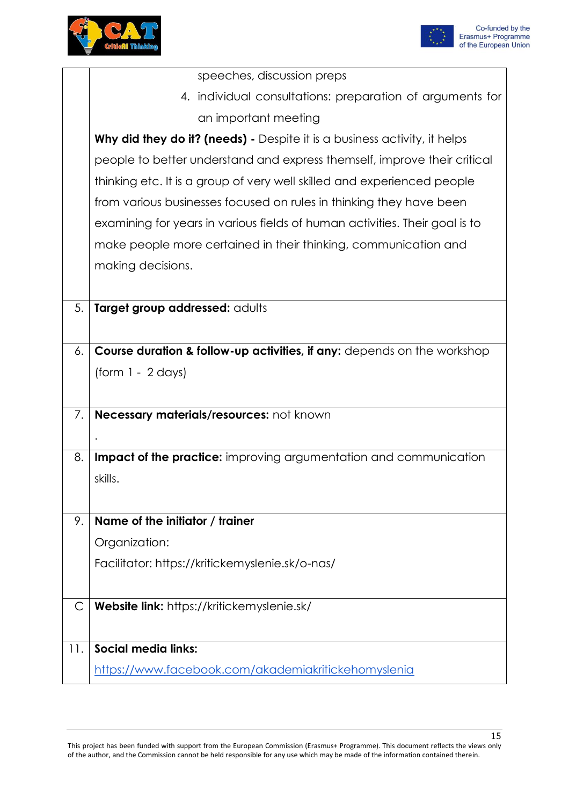



|     | speeches, discussion preps                                                         |
|-----|------------------------------------------------------------------------------------|
|     | 4. individual consultations: preparation of arguments for                          |
|     | an important meeting                                                               |
|     | <b>Why did they do it? (needs)</b> - Despite it is a business activity, it helps   |
|     | people to better understand and express themself, improve their critical           |
|     | thinking etc. It is a group of very well skilled and experienced people            |
|     | from various businesses focused on rules in thinking they have been                |
|     | examining for years in various fields of human activities. Their goal is to        |
|     | make people more certained in their thinking, communication and                    |
|     | making decisions.                                                                  |
|     |                                                                                    |
| 5.  | Target group addressed: adults                                                     |
|     |                                                                                    |
| 6.  | <b>Course duration &amp; follow-up activities, if any:</b> depends on the workshop |
|     | $form 1 - 2 days$                                                                  |
|     |                                                                                    |
| 7.  | Necessary materials/resources: not known                                           |
|     |                                                                                    |
| 8.  | <b>Impact of the practice:</b> improving argumentation and communication           |
|     | skills.                                                                            |
|     |                                                                                    |
| 9.  | Name of the initiator / trainer                                                    |
|     | Organization:                                                                      |
|     | Facilitator: https://kritickemyslenie.sk/o-nas/                                    |
|     |                                                                                    |
| С   | Website link: https://kritickemyslenie.sk/                                         |
|     |                                                                                    |
| 11. | <b>Social media links:</b>                                                         |
|     | https://www.facebook.com/akademiakritickehomyslenia                                |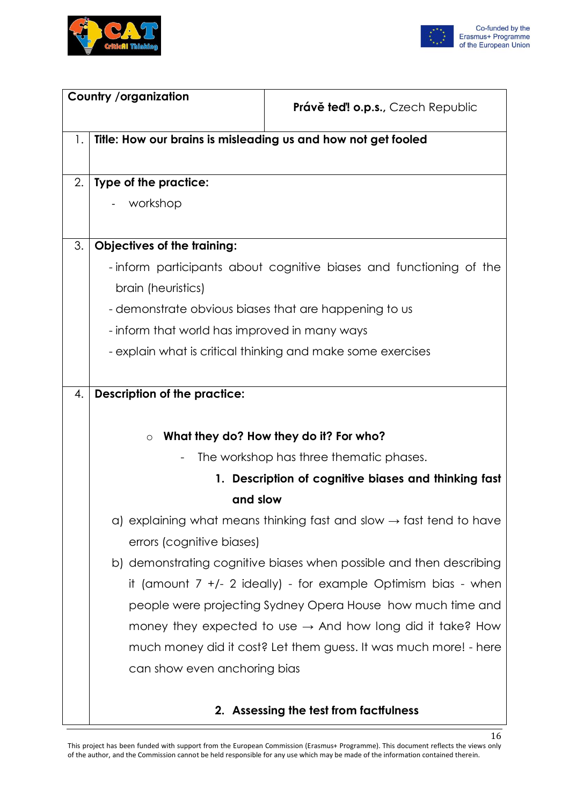



| <b>Country /organization</b> |                                                               |                                                                                 |
|------------------------------|---------------------------------------------------------------|---------------------------------------------------------------------------------|
|                              |                                                               | <b>Právě teď! o.p.s., Czech Republic</b>                                        |
| 1.                           | Title: How our brains is misleading us and how not get fooled |                                                                                 |
|                              |                                                               |                                                                                 |
| 2.                           | Type of the practice:                                         |                                                                                 |
|                              | workshop                                                      |                                                                                 |
|                              |                                                               |                                                                                 |
| 3.                           | <b>Objectives of the training:</b>                            |                                                                                 |
|                              |                                                               | -inform participants about cognitive biases and functioning of the              |
|                              | brain (heuristics)                                            |                                                                                 |
|                              | - demonstrate obvious biases that are happening to us         |                                                                                 |
|                              | - inform that world has improved in many ways                 |                                                                                 |
|                              |                                                               | - explain what is critical thinking and make some exercises                     |
|                              |                                                               |                                                                                 |
| 4.                           | <b>Description of the practice:</b>                           |                                                                                 |
|                              |                                                               |                                                                                 |
|                              | $\circ$                                                       | What they do? How they do it? For who?                                          |
|                              |                                                               | The workshop has three thematic phases.                                         |
|                              |                                                               | 1. Description of cognitive biases and thinking fast                            |
|                              | and slow                                                      |                                                                                 |
|                              |                                                               | a) explaining what means thinking fast and slow $\rightarrow$ fast tend to have |
|                              | errors (cognitive biases)                                     |                                                                                 |
|                              |                                                               | b) demonstrating cognitive biases when possible and then describing             |
|                              |                                                               | it (amount $7 +/- 2$ ideally) - for example Optimism bias - when                |
|                              |                                                               | people were projecting Sydney Opera House how much time and                     |
|                              |                                                               | money they expected to use $\rightarrow$ And how long did it take? How          |
|                              |                                                               | much money did it cost? Let them guess. It was much more! - here                |
|                              | can show even anchoring bias                                  |                                                                                 |
|                              |                                                               |                                                                                 |
|                              |                                                               | بمفارضه وبالمسار                                                                |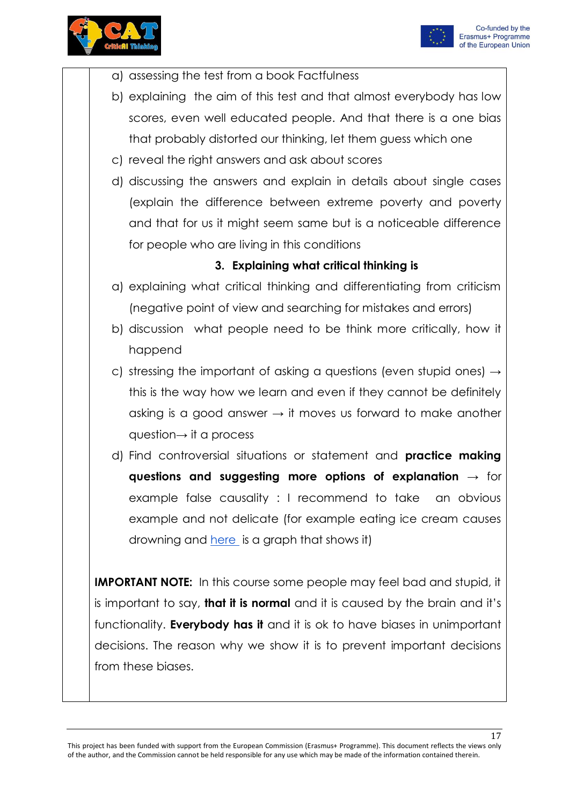